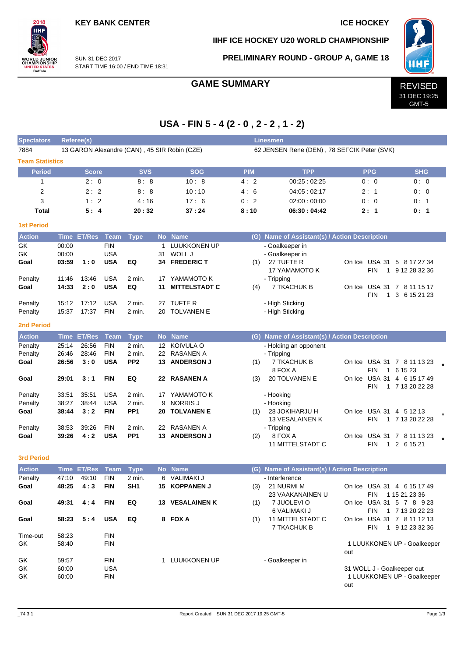## **KEY BANK CENTER IN THE SERVICE HOCKEY**

## **IIHF ICE HOCKEY U20 WORLD CHAMPIONSHIP**



SUN 31 DEC 2017 START TIME 16:00 / END TIME 18:31

**Spectators Referee(s) Linesmen**

## **PRELIMINARY ROUND - GROUP A, GAME 18**



31 DEC 19:25 GMT-5

**USA - FIN 5 - 4 (2 - 0 , 2 - 2 , 1 - 2)**

7884 13 GARON Alexandre (CAN), 45 SIR Robin (CZE) 62 JENSEN Rene (DEN), 78 SEFCIK Peter (SVK)

| <b>Team Statistics</b> |                |                    |                          |                 |           |                        |            |                                               |                                                          |                                        |
|------------------------|----------------|--------------------|--------------------------|-----------------|-----------|------------------------|------------|-----------------------------------------------|----------------------------------------------------------|----------------------------------------|
| <b>Period</b>          |                | Score              |                          | <b>SVS</b>      |           | <b>SOG</b>             | <b>PIM</b> | <b>TPP</b>                                    | <b>PPG</b>                                               | <b>SHG</b>                             |
| 1                      |                | 2:0                |                          | 8:8             |           | 10:8                   | 4:2        | 00:25:02:25                                   | 0:0                                                      | 0:0                                    |
| 2                      |                | 2:2                |                          | 8:8             |           | 10:10                  | 4:6        | 04:05:02:17                                   | 2:1                                                      | 0:0                                    |
| 3                      |                | 1:2                |                          | 4:16            |           | 17:6                   | 0:2        | 02:00:00:00                                   | 0:0                                                      | 0:1                                    |
| <b>Total</b>           |                | 5:4                |                          | 20:32           |           | 37:24                  | 8:10       | 06:30:04:42                                   | 2:1                                                      | 0:1                                    |
| <b>1st Period</b>      |                |                    |                          |                 |           |                        |            |                                               |                                                          |                                        |
| <b>Action</b>          | <b>Time</b>    | <b>ET/Res</b>      | <b>Team</b>              | <b>Type</b>     | <b>No</b> | <b>Name</b>            |            | (G) Name of Assistant(s) / Action Description |                                                          |                                        |
| GK                     | 00:00          |                    | <b>FIN</b>               |                 | 1         | LUUKKONEN UP           |            | - Goalkeeper in                               |                                                          |                                        |
| GK                     | 00:00          |                    | <b>USA</b>               |                 | 31        | WOLL J                 |            | - Goalkeeper in                               |                                                          |                                        |
| Goal                   | 03:59          | 1:0                | <b>USA</b>               | EQ              |           | 34 FREDERIC T          | (1)        | 27 TUFTE R<br>17 YAMAMOTO K                   | On Ice USA 31 5 8 17 27 34<br><b>FIN</b><br>$\mathbf{1}$ | 9 12 28 32 36                          |
| Penalty                | 11:46          | 13:46              | <b>USA</b>               | 2 min.          | 17        | YAMAMOTO K             |            | - Tripping                                    |                                                          |                                        |
| Goal                   | 14:33          | 2:0                | <b>USA</b>               | EQ              | 11        | <b>MITTELSTADT C</b>   | (4)        | 7 TKACHUK B                                   | On Ice<br><b>FIN</b><br>$\mathbf{1}$                     | USA 31 7 8 11 15 17<br>3 6 15 21 23    |
| Penalty                | 15:12          | 17:12              | <b>USA</b>               | 2 min.          | 27        | TUFTE R                |            | - High Sticking                               |                                                          |                                        |
| Penalty                | 15:37          | 17:37              | <b>FIN</b>               | 2 min.          | 20        | <b>TOLVANEN E</b>      |            | - High Sticking                               |                                                          |                                        |
| <b>2nd Period</b>      |                |                    |                          |                 |           |                        |            |                                               |                                                          |                                        |
| <b>Action</b>          |                | <b>Time ET/Res</b> | Team                     | <b>Type</b>     |           | No Name                |            | (G) Name of Assistant(s) / Action Description |                                                          |                                        |
| Penalty                | 25:14          | 26:56              | <b>FIN</b>               | 2 min.          | 12        | KOIVULA O              |            | - Holding an opponent                         |                                                          |                                        |
| Penalty                | 26:46          | 28:46              | <b>FIN</b>               | 2 min.          | 22        | RASANEN A              |            | - Tripping                                    |                                                          |                                        |
| Goal                   | 26:56          | 3:0                | <b>USA</b>               | PP <sub>2</sub> | 13        | <b>ANDERSON J</b>      | (1)        | 7 TKACHUK B<br>8 FOX A                        | On Icel<br><b>FIN</b><br>$\mathbf{1}$                    | USA 31 7 8 11 13 23<br>6 15 23         |
| Goal                   | 29:01          | 3:1                | <b>FIN</b>               | EQ              | 22        | <b>RASANEN A</b>       | (3)        | <b>20 TOLVANEN E</b>                          | On Ice<br>FIN                                            | USA 31 4 6 15 17 49<br>1 7 13 20 22 28 |
| Penalty                | 33:51          | 35:51              | <b>USA</b>               | 2 min.          |           | 17 YAMAMOTO K          |            | - Hooking                                     |                                                          |                                        |
| Penalty                | 38:27          | 38:44              | <b>USA</b>               | 2 min.          | 9         | <b>NORRIS J</b>        |            | - Hooking                                     |                                                          |                                        |
| Goal                   | 38:44          | 3:2                | <b>FIN</b>               | PP <sub>1</sub> | 20        | <b>TOLVANEN E</b>      | (1)        | 28 JOKIHARJU H<br>13 VESALAINEN K             | On Ice USA 31 4 5 12 13<br><b>FIN</b>                    | 1 7 13 20 22 28                        |
| Penalty                | 38:53          | 39:26              | <b>FIN</b>               | 2 min.          | 22        | <b>RASANEN A</b>       |            | - Tripping                                    |                                                          |                                        |
| Goal                   | 39:26          | 4:2                | <b>USA</b>               | PP <sub>1</sub> | 13        | <b>ANDERSON J</b>      | (2)        | 8 FOX A<br><b>11 MITTELSTADT C</b>            | On Ice<br><b>FIN</b><br>$\mathbf{1}$                     | USA 31 7 8 11 13 23<br>2 6 15 21       |
| <b>3rd Period</b>      |                |                    |                          |                 |           |                        |            |                                               |                                                          |                                        |
| <b>Action</b>          |                | <b>Time ET/Res</b> | Team                     | <b>Type</b>     |           | No Name                |            | (G) Name of Assistant(s) / Action Description |                                                          |                                        |
| Penalty                | 47:10          | 49:10              | <b>FIN</b>               | 2 min.          | 6         | VALIMAKI J             |            | - Interference                                |                                                          |                                        |
| Goal                   | 48:25          | 4:3                | <b>FIN</b>               | SH <sub>1</sub> | 15        | <b>KOPPANEN J</b>      | (3)        | 21 NURMI M<br>23 VAAKANAINEN U                | On Ice USA 31 4 6 15 17 49<br><b>FIN</b>                 | 1 15 21 23 36                          |
| Goal                   | 49:31          | 4:4                | FIN                      | EQ              |           | <b>13 VESALAINEN K</b> | (1)        | 7 JUOLEVI O<br>6 VALIMAKI J                   | On Ice USA 31 5 7 8 9 23<br><b>FIN</b>                   | 1 7 13 20 22 23                        |
| Goal                   | 58:23          | 5:4                | <b>USA</b>               | EQ              |           | 8 FOX A                | (1)        | 11 MITTELSTADT C<br>7 TKACHUK B               | On Ice USA 31<br>FIN<br>$\mathbf{1}$                     | 7 8 11 12 13<br>9 12 23 32 36          |
| Time-out               | 58:23          |                    | <b>FIN</b>               |                 |           |                        |            |                                               |                                                          |                                        |
| GK                     | 58:40          |                    | <b>FIN</b>               |                 |           |                        |            |                                               | out                                                      | 1 LUUKKONEN UP - Goalkeeper            |
| GK                     | 59:57          |                    | <b>FIN</b>               |                 |           | 1 LUUKKONEN UP         |            | - Goalkeeper in                               |                                                          |                                        |
| GK<br>GK               | 60:00<br>60:00 |                    | <b>USA</b><br><b>FIN</b> |                 |           |                        |            |                                               | 31 WOLL J - Goalkeeper out<br>out                        | 1 LUUKKONEN UP - Goalkeeper            |
|                        |                |                    |                          |                 |           |                        |            |                                               |                                                          |                                        |

### **2nd Period**

| <b>Action</b> |       | Time ET/Res Team |            | <b>Type</b>       |    | No Name           |     | (G) Name of Assistant(s) / Action Description |        |               |                 |  |
|---------------|-------|------------------|------------|-------------------|----|-------------------|-----|-----------------------------------------------|--------|---------------|-----------------|--|
| Penalty       | 25:14 | 26:56            | <b>FIN</b> | 2 min.            |    | 12 KOIVULA O      |     | - Holding an opponent                         |        |               |                 |  |
| Penalty       | 26:46 | 28:46            | <b>FIN</b> | 2 min.            |    | 22 RASANEN A      |     | - Tripping                                    |        |               |                 |  |
| Goal          | 26:56 | 3:0              | <b>USA</b> | PP <sub>2</sub>   | 13 | <b>ANDERSON J</b> | (1) | 7 TKACHUK B                                   |        | On Ice USA 31 | 7 8 11 13 23    |  |
|               |       |                  |            |                   |    |                   |     | 8 FOX A                                       |        | <b>FIN</b>    | 1 6 15 23       |  |
| Goal          | 29:01 | 3:1              | <b>FIN</b> | EQ                | 22 | <b>RASANEN A</b>  | (3) | 20 TOLVANEN E                                 | On Ice | <b>USA 31</b> | 4 6 15 17 49    |  |
|               |       |                  |            |                   |    |                   |     |                                               |        | <b>FIN</b>    | 7 13 20 22 28   |  |
| Penalty       | 33:51 | 35:51            | <b>USA</b> | $2 \text{ min}$ . | 17 | YAMAMOTO K        |     | - Hooking                                     |        |               |                 |  |
| Penalty       | 38.27 | 38:44            | <b>USA</b> | $2 \text{ min}$ . |    | 9 NORRIS J        |     | - Hooking                                     |        |               |                 |  |
| Goal          | 38:44 | 3:2              | <b>FIN</b> | PP <sub>1</sub>   | 20 | <b>TOLVANEN E</b> | (1) | 28 JOKIHARJU H                                |        | On Ice USA 31 | 4 5 1 2 1 3     |  |
|               |       |                  |            |                   |    |                   |     | <b>13 VESALAINEN K</b>                        |        | <b>FIN</b>    | 7 13 20 22 28   |  |
| Penalty       | 38.53 | 39.26            | <b>FIN</b> | $2$ min.          | 22 | <b>RASANEN A</b>  |     | - Tripping                                    |        |               |                 |  |
| Goal          | 39:26 | 4:2              | <b>USA</b> | PP <sub>1</sub>   | 13 | <b>ANDERSON J</b> | (2) | 8 FOX A                                       |        | On Ice USA 31 | 8 11 13 23<br>7 |  |

### **3rd Period**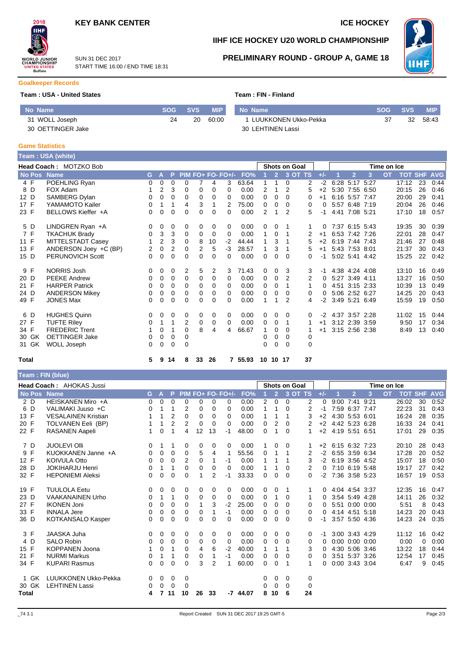

START TIME 16:00 / END TIME 18:31

SUN 31 DEC 2017



# **IIHF ICE HOCKEY U20 WORLD CHAMPIONSHIP**

**PRELIMINARY ROUND - GROUP A, GAME 18**



#### **Goalkeeper Records**

#### **Team : USA - United States Team : FIN - Finland**

| No Name           | <b>SOG</b> | <b>SVS</b> | <b>MIP</b> | No Name                | <b>SOG</b> | SVS 4 | <b>MIP</b> |
|-------------------|------------|------------|------------|------------------------|------------|-------|------------|
| 31 WOLL Joseph    |            | 20         | 60:00      | 1 LUUKKONEN Ukko-Pekka | 37         | 32    | 58.43      |
| 30 OETTINGER Jake |            |            |            | 30 LEHTINEN Lassi      |            |       |            |

# **Game Statistics**

|       |       | Team: USA (white)       |    |              |                |          |                |          |                   |       |   |                |                      |          |       |             |                |   |           |                    |    |      |
|-------|-------|-------------------------|----|--------------|----------------|----------|----------------|----------|-------------------|-------|---|----------------|----------------------|----------|-------|-------------|----------------|---|-----------|--------------------|----|------|
|       |       | Head Coach: MOTZKO Bob  |    |              |                |          |                |          |                   |       |   |                | <b>Shots on Goal</b> |          |       | Time on Ice |                |   |           |                    |    |      |
|       |       | No Pos Name             | G. | $\mathbf{A}$ | P.             |          |                |          | PIM FO+ FO- FO+/- | FO%   |   | $\overline{2}$ |                      | 3 OT TS  | $+/-$ |             | $\overline{2}$ | 3 | <b>OT</b> | <b>TOT SHF AVG</b> |    |      |
|       | 4 F   | POEHLING Ryan           | 0  | 0            | 0              | 0        |                | 4        | 3                 | 63.64 | 1 |                | 0                    | 2        | $-2$  |             | 6:28 5:17 5:27 |   |           | 17:12              | 23 | 0:44 |
|       | 8 D   | FOX Adam                |    | 2            | 3              | 0        | 0              | 0        | $\Omega$          | 0.00  | 2 | 1              | 2                    | 5        | $+2$  |             | 5:30 7:55 6:50 |   |           | 20:15              | 26 | 0:46 |
| 12 D  |       | SAMBERG Dylan           | 0  | 0            | 0              | 0        | 0              | 0        | 0                 | 0.00  | 0 | 0              | $\Omega$             | 0        | $+1$  |             | 6:16 5:57 7:47 |   |           | 20:00              | 29 | 0:41 |
| 17 F  |       | YAMAMOTO Kailer         | 0  | 1            | 1              | 4        | 3              | 1        | 2                 | 75.00 | 0 | 0              | 0                    | 0        | 0     |             | 5:57 6:48 7:19 |   |           | 20:04              | 26 | 0:46 |
| 23 F  |       | BELLOWS Kieffer +A      | 0  | 0            | 0              | 0        | 0              | 0        | $\Omega$          | 0.00  | 2 | 1              | 2                    | 5        | -1    |             | 4:41 7:08 5:21 |   |           | 17:10              | 18 | 0:57 |
|       | 5 D   | LINDGREN Ryan +A        | 0  | 0            | 0              | 0        | 0              | 0        | 0                 | 0.00  | 0 | 0              |                      |          | 0     |             | 7:37 6:15 5:43 |   |           | 19:35              | 30 | 0:39 |
|       | 7 F   | <b>TKACHUK Brady</b>    | 0  | 3            | 3              | 0        | 0              | 0        | 0                 | 0.00  | 1 | 0              | 1                    | 2        | $+1$  |             | 6:53 7:42 7:26 |   |           | 22:01              | 28 | 0:47 |
| 11 F  |       | MITTELSTADT Casey       |    | 2            | 3              | 0        | 8              | 10       | $-2$              | 44.44 | 1 | 3              |                      | 5        | $+2$  |             | 6:19 7:44 7:43 |   |           | 21:46              | 27 | 0:48 |
| 13 F  |       | ANDERSON Joey +C (BP)   | 2  | 0            | $\overline{2}$ | $\Omega$ | $\overline{2}$ | 5        | -3                | 28.57 | 1 | 3              | 1                    | 5        | $+1$  |             | 5:43 7:53 8:01 |   |           | 21:37              | 30 | 0:43 |
| 15 D  |       | <b>PERUNOVICH Scott</b> | 0  | 0            | 0              | $\Omega$ | 0              | 0        | $\Omega$          | 0.00  | 0 | 0              | $\Omega$             | 0        | -1    |             | 5:02 5:41 4:42 |   |           | 15:25              | 22 | 0:42 |
|       | 9 F   | NORRIS Josh             | 0  | 0            | 0              | 2        | 5              | 2        | 3                 | 71.43 | 0 | 0              | 3                    | 3        | -1    |             | 4:38 4:24 4:08 |   |           | 13:10              | 16 | 0:49 |
| 20 D  |       | <b>PEEKE Andrew</b>     | 0  | 0            | 0              | 0        | 0              | 0        | 0                 | 0.00  | 0 | 0              | 2                    | 2        | 0     |             | 5:27 3:49 4:11 |   |           | 13:27              | 16 | 0:50 |
| 21 F  |       | <b>HARPER Patrick</b>   | 0  | 0            | 0              | 0        | 0              | 0        | $\Omega$          | 0.00  | 0 | 0              | 1                    | 1        | 0     |             | 4:51 3:15 2:33 |   |           | 10:39              | 13 | 0:49 |
| 24 D  |       | <b>ANDERSON Mikey</b>   | 0  | 0            | 0              | $\Omega$ | 0              | $\Omega$ | $\Omega$          | 0.00  | 0 | 0              | $\Omega$             | 0        | 0     |             | 5:06 2:52 6:27 |   |           | 14:25              | 20 | 0:43 |
| 49 F  |       | <b>JONES Max</b>        | 0  | 0            | 0              | 0        | 0              | 0        | 0                 | 0.00  | 1 | 1              | 2                    | 4        | $-2$  |             | 3:49 5:21 6:49 |   |           | 15:59              | 19 | 0:50 |
|       | 6 D   | <b>HUGHES Quinn</b>     | 0  | 0            | 0              | 0        | 0              | 0        | 0                 | 0.00  | 0 | 0              | 0                    | 0        | -2    |             | 4:37 3:57 2:28 |   |           | 11:02              | 15 | 0:44 |
| 27 F  |       | <b>TUFTE Riley</b>      | 0  | 1            | 1              | 2        | 0              | 0        | $\Omega$          | 0.00  | 0 | 0              | 1                    |          | $+1$  |             | 3:12 2:39 3:59 |   |           | 9:50               | 17 | 0:34 |
| 34 F  |       | <b>FREDERIC Trent</b>   |    | 0            | 1              | $\Omega$ | 8              | 4        | 4                 | 66.67 | 1 | 0              | $\Omega$             |          | $+1$  |             | 3:15 2:56 2:38 |   |           | 8:49               | 13 | 0:40 |
|       | 30 GK | <b>OETTINGER Jake</b>   | 0  | 0            | 0              | 0        |                |          |                   |       | 0 | 0              | $\Omega$             | 0        |       |             |                |   |           |                    |    |      |
|       | 31 GK | WOLL Joseph             | 0  | 0            | 0              | $\Omega$ |                |          |                   |       | 0 | $\Omega$       | $\Omega$             | $\Omega$ |       |             |                |   |           |                    |    |      |
| Total |       |                         | 5  | 9            | 14             | 8        | 33             | 26       | 7                 | 55.93 |   | 10 10 17       |                      | 37       |       |             |                |   |           |                    |    |      |

### **Team : FIN (blue)**

|              |               | <b>Head Coach: AHOKAS Jussi</b> |          |              |                |                |          |                |                   |            | <b>Shots on Goal</b> |                |          |         |          |                     | Time on Ice          |      |           |       |                |            |
|--------------|---------------|---------------------------------|----------|--------------|----------------|----------------|----------|----------------|-------------------|------------|----------------------|----------------|----------|---------|----------|---------------------|----------------------|------|-----------|-------|----------------|------------|
|              | <b>No Pos</b> | <b>Name</b>                     | G.       | $\mathbf{A}$ | P.             |                |          |                | PIM FO+ FO- FO+/- | FO%        |                      | $\overline{2}$ |          | 3 OT TS | $+/-$    |                     | $\overline{2}$       | 3    | <b>OT</b> |       | <b>TOT SHF</b> | <b>AVG</b> |
|              | 2 D           | HEISKANEN Miro +A               | 0        | 0            | $\Omega$       | $\Omega$       | $\Omega$ | 0              | $\Omega$          | 0.00       | 2                    | $\Omega$       | $\Omega$ | 2       | $\Omega$ |                     | $9:00$ 7:41          | 9:21 |           | 26:02 | 30             | 0:52       |
|              | 6 D           | VALIMAKI Juuso +C               | 0        |              |                | 2              | 0        | 0              | $\Omega$          | 0.00       | 1                    | 1              | 0        | 2       | -1       |                     | 7:59 6:37 7:47       |      |           | 22:23 | 31             | 0.43       |
| 13 F         |               | <b>VESALAINEN Kristian</b>      |          | 1            | $\overline{2}$ | $\Omega$       | $\Omega$ | 0              | $\Omega$          | 0.00       | 1                    | 1              | 1        | 3       | $+2$     |                     | 4:30 5:53 6:01       |      |           | 16:24 | 28             | 0:35       |
| 20 F         |               | TOLVANEN Eeli (BP)              |          | 1            | $\overline{2}$ | $\overline{2}$ | 0        | 0              | $\Omega$          | 0.00       | 0                    | $\overline{2}$ | 0        | 2       | $+2$     |                     | 4:42 5:23 6:28       |      |           | 16:33 | 24             | 0:41       |
| 22 F         |               | RASANEN Aapeli                  | 1.       | $\Omega$     | 1              | 4              | 12       | 13             | $-1$              | 48.00      | 0                    | 1              | 0        | 1       |          | +2 4:19 5:51 6:51   |                      |      |           | 17:01 | 29             | 0:35       |
|              | 7 D           | <b>JUOLEVI OIII</b>             | 0        | 1            |                | 0              | 0        | 0              | 0                 | 0.00       | 1.                   | 0              | 0        |         |          | $+2$ 6:15 6:32 7:23 |                      |      |           | 20:10 | 28             | 0:43       |
|              | 9 F           | KUOKKANEN Janne +A              | 0        | 0            | $\Omega$       | $\Omega$       | 5        | 4              | -1                | 55.56      | 0                    | 1              | 1        | 2       | $-2$     |                     | 6:55 3:59 6:34       |      |           | 17:28 | 20             | 0:52       |
| 12 F         |               | <b>KOIVULA Otto</b>             | 0        | 0            | 0              | 2              | 0        | 1              | $-1$              | 0.00       | 1                    | 1              |          | 3       | $-2$     |                     | 6:19 3:56 4:52       |      |           | 15:07 | 18             | 0:50       |
| 28 D         |               | <b>JOKIHARJU Henri</b>          | 0        | 1            | 1              | 0              | 0        | 0              | $\Omega$          | 0.00       | 1                    | 1              | 0        | 2       | 0        |                     | 7:10 6:19 5:48       |      |           | 19:17 | 27             | 0:42       |
| 32 F         |               | <b>HEPONIEMI Aleksi</b>         | 0        | 0            | $\Omega$       | $\Omega$       |          | $\overline{2}$ | -1                | 33.33      | 0                    | $\Omega$       | 0        | 0       | $-2$     |                     | 7:36 3:58 5:23       |      |           | 16:57 | 19             | 0:53       |
| 19 F         |               | <b>TUULOLA Eetu</b>             | $\Omega$ | 0            | 0              | 0              | 0        | 0              | $\Omega$          | 0.00       | 0                    | 0              |          |         | 0        |                     | 4:04 4:54 3:37       |      |           | 12:35 | 16             | 0:47       |
| 23 D         |               | <b>VAAKANAINEN Urho</b>         | 0        | 1            | 1              | 0              | 0        | 0              | $\Omega$          | 0.00       | 0                    | 1              | $\Omega$ | 1       | 0        |                     | 3:54 5:49 4:28       |      |           | 14:11 | 26             | 0:32       |
| 27 F         |               | <b>IKONEN Joni</b>              | 0        | 0            | $\Omega$       | $\Omega$       |          | 3              | $-2$              | 25.00      | $\Omega$             | $\Omega$       | $\Omega$ | 0       | 0        |                     | 5:51 0:00 0:00       |      |           | 5:51  | 8              | 0:43       |
| 33 F         |               | <b>INNALA Jere</b>              | 0        | 0            | $\Omega$       | $\Omega$       | 0        | 1              | $-1$              | 0.00       | 0                    | 0              | 0        | 0       | 0        |                     | 4:14 4:51 5:18       |      |           | 14:23 | 20             | 0:43       |
| 36 D         |               | KOTKANSALO Kasper               | 0        | 0            | $\Omega$       | $\Omega$       | $\Omega$ | $\Omega$       | $\Omega$          | 0.00       | 0                    | 0              | 0        | 0       | -1       |                     | 3:57 5:50 4:36       |      |           | 14:23 | 24             | 0:35       |
|              | 3 F           | <b>JAASKA Juha</b>              | 0        | 0            | 0              | 0              | 0        | 0              | $\Omega$          | 0.00       | 0                    | 0              | 0        | 0       | -1       |                     | 3:00 3:43 4:29       |      |           | 11:12 | 16             | 0:42       |
|              | 4 D           | <b>SALO Robin</b>               | 0        | 0            | $\Omega$       | $\Omega$       | 0        | 0              | $\Omega$          | 0.00       | 0                    | $\Omega$       | $\Omega$ | 0       | 0        |                     | $0:00$ $0:00$ $0:00$ |      |           | 0:00  | 0              | 0:00       |
| 15 F         |               | <b>KOPPANEN Joona</b>           |          | 0            |                | 0              | 4        | 6              | $-2$              | 40.00      | 1                    | 1              |          | 3       | 0        |                     | 4:30 5:06 3:46       |      |           | 13:22 | 18             | 0:44       |
| 21 F         |               | <b>NURMI Markus</b>             | 0        | 1            |                | 0              | 0        | 1              | $-1$              | 0.00       | 0                    | 0              | 0        | 0       | 0        |                     | 3:51 5:37 3:26       |      |           | 12:54 | 17             | 0:45       |
| 34 F         |               | <b>KUPARI Rasmus</b>            | 0        | 0            | $\Omega$       | 0              | 3        | $\overline{2}$ |                   | 60.00      | 0                    | 0              | 1        |         | 0        |                     | 0:00 3:43 3:04       |      |           | 6:47  | 9              | 0:45       |
|              | 1 GK          | LUUKKONEN Ukko-Pekka            | $\Omega$ | $\mathbf 0$  | $\Omega$       | 0              |          |                |                   |            | 0                    | 0              | $\Omega$ | 0       |          |                     |                      |      |           |       |                |            |
|              | 30 GK         | <b>LEHTINEN Lassi</b>           | 0        | $\mathbf 0$  | $\Omega$       | $\Omega$       |          |                |                   |            | 0                    | $\Omega$       | $\Omega$ | 0       |          |                     |                      |      |           |       |                |            |
| <b>Total</b> |               |                                 | 4        | 7            | 11             | 10             | 26       | 33             |                   | $-7$ 44.07 | 8                    | 10             | 6        | 24      |          |                     |                      |      |           |       |                |            |